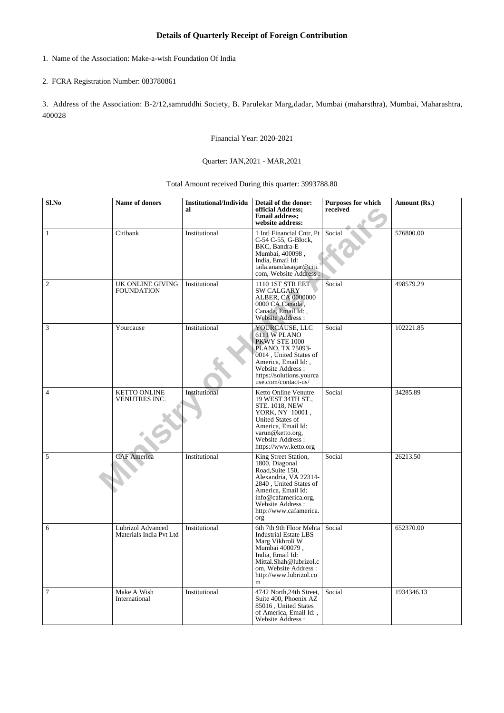## **Details of Quarterly Receipt of Foreign Contribution**

1. Name of the Association: Make-a-wish Foundation Of India

## 2. FCRA Registration Number: 083780861

3. Address of the Association: B-2/12,samruddhi Society, B. Parulekar Marg,dadar, Mumbai (maharsthra), Mumbai, Maharashtra, 400028

Financial Year: 2020-2021

## Quarter: JAN,2021 - MAR,2021

Total Amount received During this quarter: 3993788.80

| Sl.No          | Name of donors                               | <b>Institutional/Individu</b><br>al | Detail of the donor:<br>official Address;<br><b>Email address;</b><br>website address:                                                                                                                           | Purposes for which<br>received | Amount (Rs.) |
|----------------|----------------------------------------------|-------------------------------------|------------------------------------------------------------------------------------------------------------------------------------------------------------------------------------------------------------------|--------------------------------|--------------|
| $\mathbf{1}$   | Citibank                                     | Institutional                       | 1 Intl Financial Cntr, Pt<br>C-54 C-55, G-Block,<br>BKC, Bandra-E<br>Mumbai, 400098,<br>India, Email Id:<br>taila.anandasagar@citi.<br>com, Website Address:                                                     | Social                         | 576800.00    |
| 2              | UK ONLINE GIVING<br><b>FOUNDATION</b>        | Institutional                       | 1110 1ST STR EET<br><b>SW CALGARY</b><br>ALBER, CA 0000000<br>0000 CA Canada.<br>Canada, Email Id:<br>Website Address:                                                                                           | Social                         | 498579.29    |
| 3              | Yourcause                                    | Institutional                       | YOURCAUSE, LLC<br>6111 W PLANO<br>PKWY STE 1000<br>PLANO, TX 75093-<br>0014, United States of<br>America, Email Id:,<br>Website Address:<br>https://solutions.yourca<br>use.com/contact-us/                      | Social                         | 102221.85    |
| $\overline{4}$ | <b>KETTO ONLINE</b><br>VENUTRES INC.         | Institutional                       | Ketto Online Venutre<br>19 WEST 34TH ST.,<br><b>STE. 1018, NEW</b><br>YORK, NY 10001,<br>United States of<br>America, Email Id:<br>varun@ketto.org,<br>Website Address:<br>https://www.ketto.org                 | Social                         | 34285.89     |
| 5              | <b>CAF</b> America                           | Institutional                       | King Street Station,<br>1800, Diagonal<br>Road, Suite 150,<br>Alexandria, VA 22314-<br>2840, United States of<br>America, Email Id:<br>info@cafamerica.org,<br>Website Address:<br>http://www.cafamerica.<br>org | Social                         | 26213.50     |
| 6              | Lubrizol Advanced<br>Materials India Pvt Ltd | Institutional                       | 6th 7th 9th Floor Mehta<br><b>Industrial Estate LBS</b><br>Marg Vikhroli W<br>Mumbai 400079,<br>India, Email Id:<br>Mittal.Shah@lubrizol.c<br>om, Website Address:<br>http://www.lubrizol.co<br>m                | Social                         | 652370.00    |
| $\tau$         | Make A Wish<br>International                 | Institutional                       | 4742 North, 24th Street,<br>Suite 400, Phoenix AZ<br>85016, United States<br>of America, Email Id:,<br>Website Address:                                                                                          | Social                         | 1934346.13   |